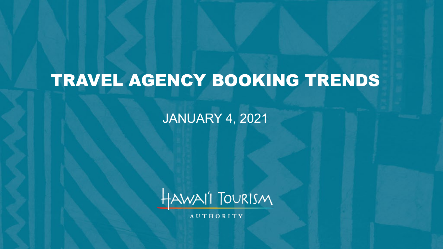# TRAVEL AGENCY BOOKING TRENDS

JANUARY 4, 2021



**AUTHORITY**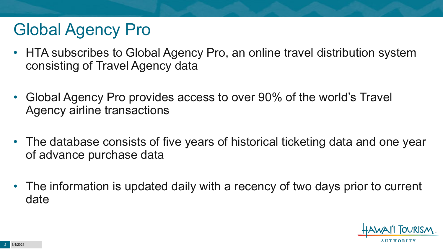# Global Agency Pro

- HTA subscribes to Global Agency Pro, an online travel distribution system consisting of Travel Agency data
- Global Agency Pro provides access to over 90% of the world's Travel Agency airline transactions
- The database consists of five years of historical ticketing data and one year of advance purchase data
- The information is updated daily with a recency of two days prior to current date

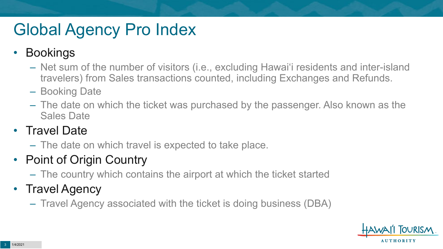# Global Agency Pro Index

### • Bookings

- Net sum of the number of visitors (i.e., excluding Hawai'i residents and inter-island travelers) from Sales transactions counted, including Exchanges and Refunds.
- Booking Date
- The date on which the ticket was purchased by the passenger. Also known as the Sales Date

### • Travel Date

– The date on which travel is expected to take place.

## • Point of Origin Country

– The country which contains the airport at which the ticket started

## • Travel Agency

– Travel Agency associated with the ticket is doing business (DBA)

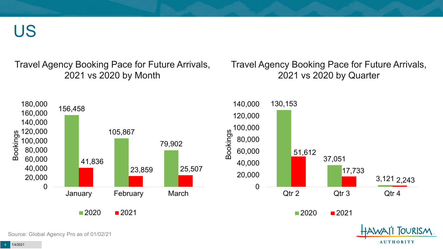US

Travel Agency Booking Pace for Future Arrivals, 2021 vs 2020 by Month

Travel Agency Booking Pace for Future Arrivals, 2021 vs 2020 by Quarter

**AUTHORITY** 

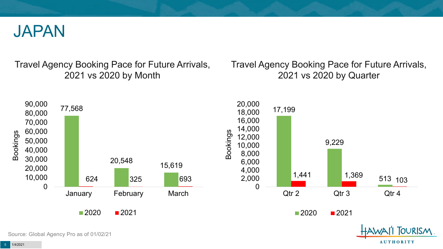

Travel Agency Booking Pace for Future Arrivals, 2021 vs 2020 by Month

Travel Agency Booking Pace for Future Arrivals, 2021 vs 2020 by Quarter

**AUTHORITY** 



Source: Global Agency Pro as of 01/02/21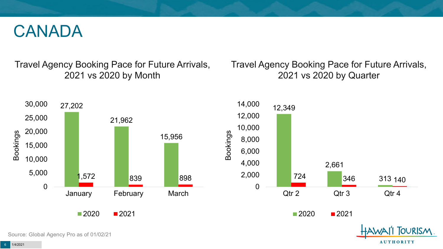## CANADA

Travel Agency Booking Pace for Future Arrivals, 2021 vs 2020 by Month

Travel Agency Booking Pace for Future Arrivals, 2021 vs 2020 by Quarter



Source: Global Agency Pro as of 01/02/21

**AUTHORITY**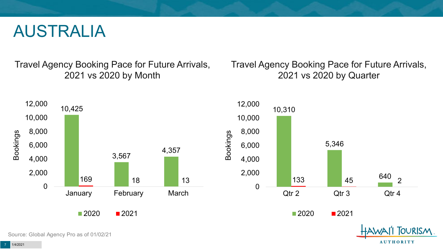## AUSTRALIA

Travel Agency Booking Pace for Future Arrivals, 2021 vs 2020 by Month

Travel Agency Booking Pace for Future Arrivals, 2021 vs 2020 by Quarter



Source: Global Agency Pro as of 01/02/21

**AUTHORITY**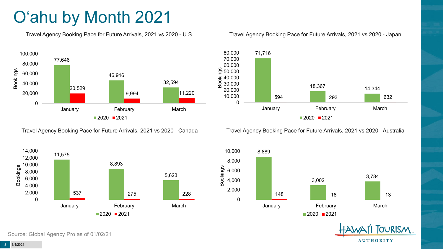# O'ahu by Month 2021

Travel Agency Booking Pace for Future Arrivals, 2021 vs 2020 - U.S.



Travel Agency Booking Pace for Future Arrivals, 2021 vs 2020 - Canada



Source: Global Agency Pro as of 01/02/21

#### Travel Agency Booking Pace for Future Arrivals, 2021 vs 2020 - Japan



Travel Agency Booking Pace for Future Arrivals, 2021 vs 2020 - Australia



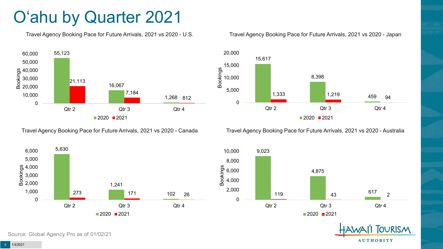# O'ahu by Quarter 2021

Travel Agency Booking Pace for Future Arrivals, 2021 vs 2020 - U.S.



Travel Agency Booking Pace for Future Arrivals, 2021 vs 2020 - Canada





Travel Agency Booking Pace for Future Arrivals, 2021 vs 2020 - Australia





**TOURISM AUTHORITY**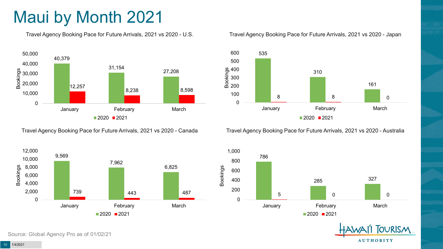# Maui by Month 2021

Travel Agency Booking Pace for Future Arrivals, 2021 vs 2020 - U.S.



Travel Agency Booking Pace for Future Arrivals, 2021 vs 2020 - Canada



Source: Global Agency Pro as of 01/02/21

#### Travel Agency Booking Pace for Future Arrivals, 2021 vs 2020 - Japan



Travel Agency Booking Pace for Future Arrivals, 2021 vs 2020 - Australia



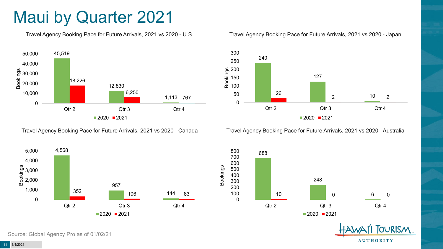## Maui by Quarter 2021

Travel Agency Booking Pace for Future Arrivals, 2021 vs 2020 - U.S.



Travel Agency Booking Pace for Future Arrivals, 2021 vs 2020 - Canada





Travel Agency Booking Pace for Future Arrivals, 2021 vs 2020 - Australia





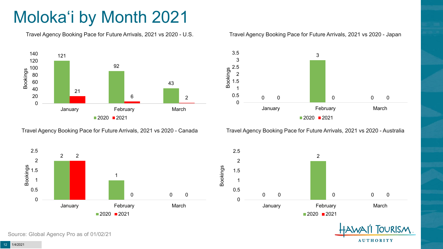# Moloka'i by Month 2021

Travel Agency Booking Pace for Future Arrivals, 2021 vs 2020 - U.S.



Travel Agency Booking Pace for Future Arrivals, 2021 vs 2020 - Canada





Travel Agency Booking Pace for Future Arrivals, 2021 vs 2020 - Australia



 1.5 2.5





Source: Global Agency Pro as of 01/02/21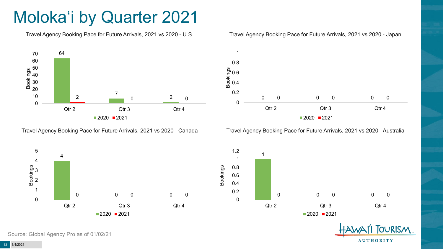# Moloka'i by Quarter 2021

Travel Agency Booking Pace for Future Arrivals, 2021 vs 2020 - U.S.



Travel Agency Booking Pace for Future Arrivals, 2021 vs 2020 - Canada





Travel Agency Booking Pace for Future Arrivals, 2021 vs 2020 - Australia







Source: Global Agency Pro as of 01/02/21

1/4/2021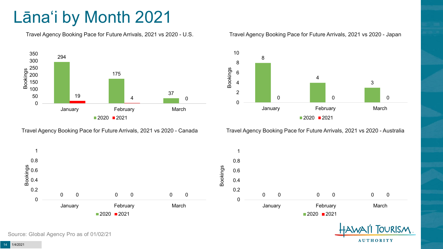# Lāna'i by Month 2021

Travel Agency Booking Pace for Future Arrivals, 2021 vs 2020 - U.S.



Travel Agency Booking Pace for Future Arrivals, 2021 vs 2020 - Canada





Travel Agency Booking Pace for Future Arrivals, 2021 vs 2020 - Australia

**AUTHORITY** 



Source: Global Agency Pro as of 01/02/21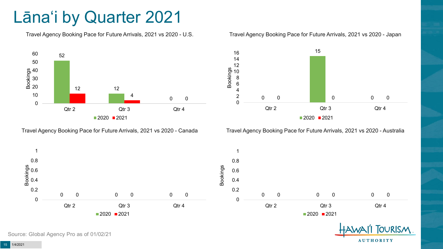# Lāna'i by Quarter 2021

Travel Agency Booking Pace for Future Arrivals, 2021 vs 2020 - U.S.



Travel Agency Booking Pace for Future Arrivals, 2021 vs 2020 - Canada





Travel Agency Booking Pace for Future Arrivals, 2021 vs 2020 - Australia

**AUTHORITY** 



15 1/4/2021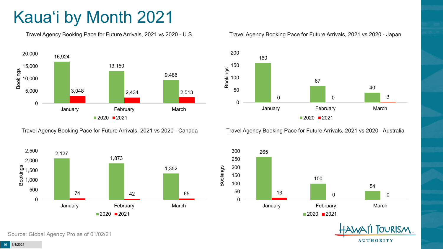# Kaua'i by Month 2021

Travel Agency Booking Pace for Future Arrivals, 2021 vs 2020 - U.S.



Travel Agency Booking Pace for Future Arrivals, 2021 vs 2020 - Canada



Source: Global Agency Pro as of 01/02/21

#### Travel Agency Booking Pace for Future Arrivals, 2021 vs 2020 - Japan



Travel Agency Booking Pace for Future Arrivals, 2021 vs 2020 - Australia



**TOURISM AUTHORITY**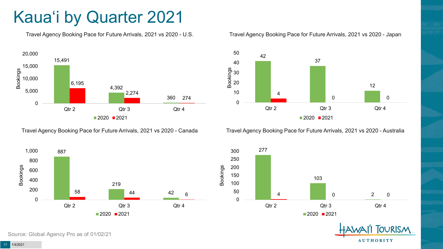# Kaua'i by Quarter 2021

Travel Agency Booking Pace for Future Arrivals, 2021 vs 2020 - U.S.



Travel Agency Booking Pace for Future Arrivals, 2021 vs 2020 - Canada





Travel Agency Booking Pace for Future Arrivals, 2021 vs 2020 - Australia





**TOURISM AUTHORITY**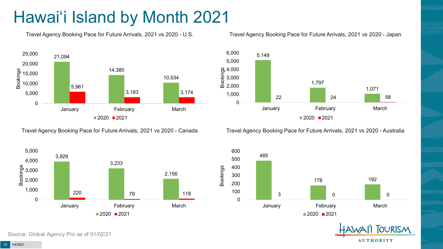# Hawai'i Island by Month 2021

Travel Agency Booking Pace for Future Arrivals, 2021 vs 2020 - U.S.



Travel Agency Booking Pace for Future Arrivals, 2021 vs 2020 - Canada





Travel Agency Booking Pace for Future Arrivals, 2021 vs 2020 - Australia

600



485 178 192 3 0 0 0 0 100 200 300 400 500 January **February** February March  $2020$  2021